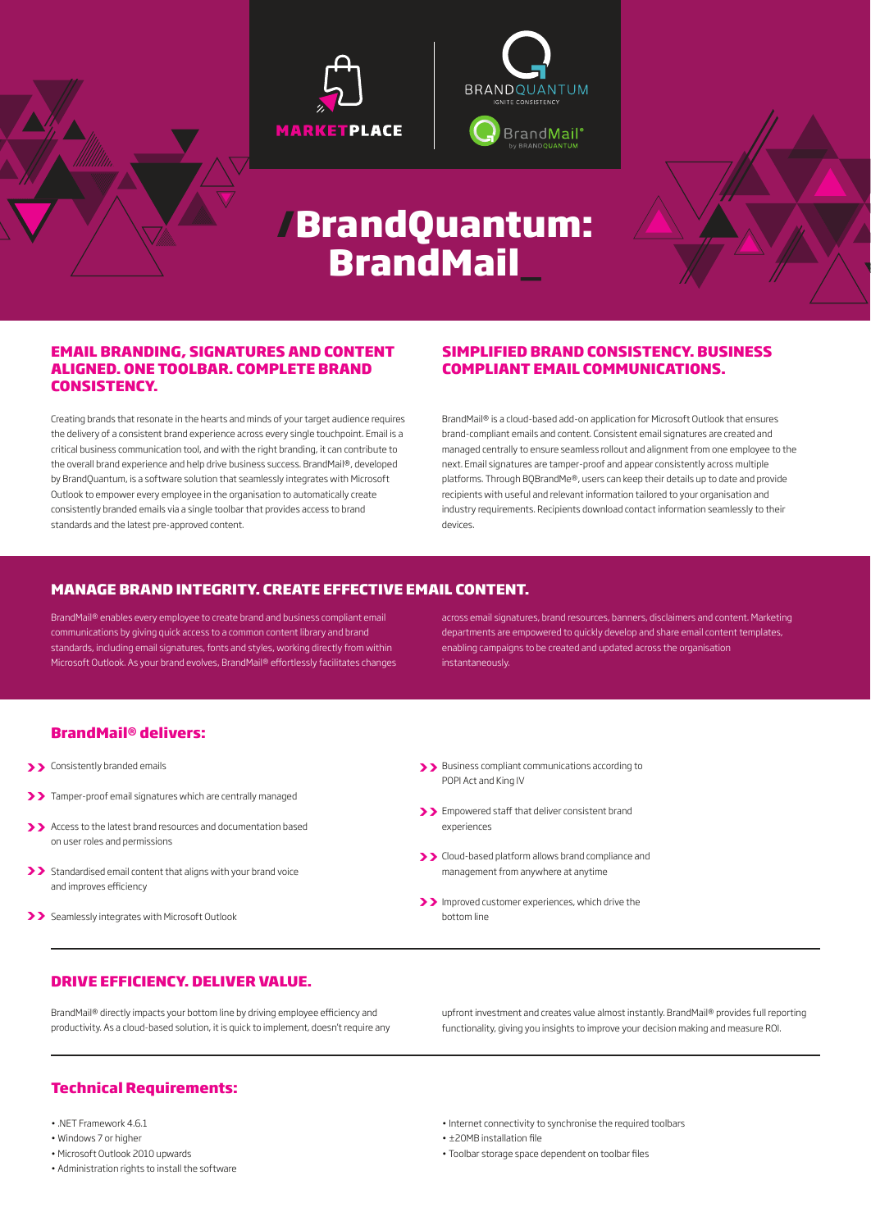





# **/BrandQuantum: BrandMail\_**

#### **EMAIL BRANDING, SIGNATURES AND CONTENT ALIGNED. ONE TOOLBAR. COMPLETE BRAND CONSISTENCY.**

Creating brands that resonate in the hearts and minds of your target audience requires the delivery of a consistent brand experience across every single touchpoint. Email is a critical business communication tool, and with the right branding, it can contribute to the overall brand experience and help drive business success. BrandMail®, developed by BrandQuantum, is a software solution that seamlessly integrates with Microsoft Outlook to empower every employee in the organisation to automatically create consistently branded emails via a single toolbar that provides access to brand standards and the latest pre-approved content.

#### **SIMPLIFIED BRAND CONSISTENCY. BUSINESS COMPLIANT EMAIL COMMUNICATIONS.**

BrandMail® is a cloud-based add-on application for Microsoft Outlook that ensures brand-compliant emails and content. Consistent email signatures are created and managed centrally to ensure seamless rollout and alignment from one employee to the next. Email signatures are tamper-proof and appear consistently across multiple platforms. Through BQBrandMe®, users can keep their details up to date and provide recipients with useful and relevant information tailored to your organisation and industry requirements. Recipients download contact information seamlessly to their devices.

#### **MANAGE BRAND INTEGRITY. CREATE EFFECTIVE EMAIL CONTENT.**

BrandMail® enables every employee to create brand and business compliant email communications by giving quick access to a common content library and brand standards, including email signatures, fonts and styles, working directly from within Microsoft Outlook. As your brand evolves, BrandMail® effortlessly facilitates changes across email signatures, brand resources, banners, disclaimers and content. Marketing departments are empowered to quickly develop and share email content templates, enabling campaigns to be created and updated across the organisation instantaneously.

#### **BrandMail® delivers:**

- Consistently branded emails **>> >>**
- Tamper-proof email signatures which are centrally managed **>>**
- Access to the latest brand resources and documentation based **>>** on user roles and permissions
- >> Standardised email content that aligns with your brand voice and improves efficiency
- >> Seamlessly integrates with Microsoft Outlook
- Business compliant communications according to POPI Act and King IV
- **>>** Empowered staff that deliver consistent brand experiences
- **>>** Cloud-based platform allows brand compliance and management from anywhere at anytime
- **>>** Improved customer experiences, which drive the bottom line

#### **DRIVE EFFICIENCY. DELIVER VALUE.**

BrandMail® directly impacts your bottom line by driving employee efficiency and productivity. As a cloud-based solution, it is quick to implement, doesn't require any upfront investment and creates value almost instantly. BrandMail® provides full reporting functionality, giving you insights to improve your decision making and measure ROI.

### **Technical Requirements:**

- .NET Framework 4.6.1
- Windows 7 or higher
- Microsoft Outlook 2010 upwards
- Administration rights to install the software
- Internet connectivity to synchronise the required toolbars
- ±20MB installation file
- Toolbar storage space dependent on toolbar files